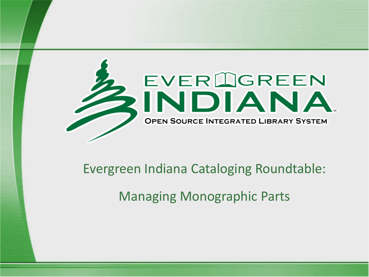

#### Evergreen Indiana Cataloging Roundtable:

Managing Monographic Parts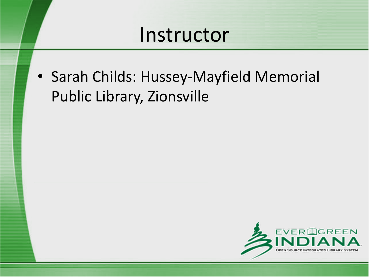#### Instructor

• Sarah Childs: Hussey-Mayfield Memorial Public Library, Zionsville

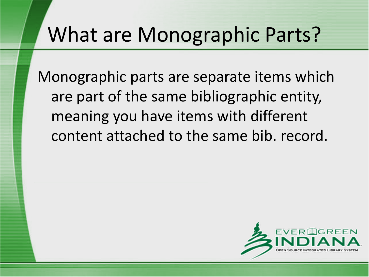### What are Monographic Parts?

Monographic parts are separate items which are part of the same bibliographic entity, meaning you have items with different content attached to the same bib. record.

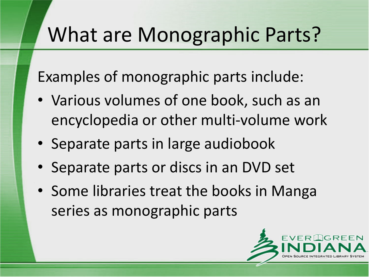## What are Monographic Parts?

Examples of monographic parts include:

- Various volumes of one book, such as an encyclopedia or other multi-volume work
- Separate parts in large audiobook
- Separate parts or discs in an DVD set
- Some libraries treat the books in Manga series as monographic parts

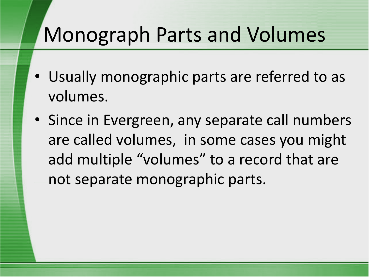## Monograph Parts and Volumes

- Usually monographic parts are referred to as volumes.
- Since in Evergreen, any separate call numbers are called volumes, in some cases you might add multiple "volumes" to a record that are not separate monographic parts.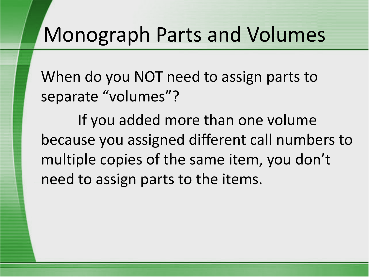#### Monograph Parts and Volumes

When do you NOT need to assign parts to separate "volumes"?

If you added more than one volume because you assigned different call numbers to multiple copies of the same item, you don't need to assign parts to the items.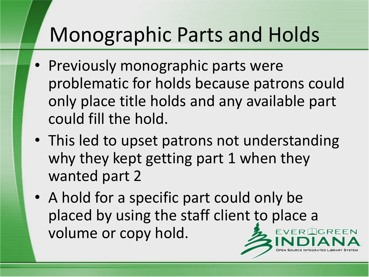## Monographic Parts and Holds

- Previously monographic parts were problematic for holds because patrons could only place title holds and any available part could fill the hold.
- This led to upset patrons not understanding why they kept getting part 1 when they wanted part 2
- A hold for a specific part could only be placed by using the staff client to place a volume or copy hold. $EVER$   $\bigcirc$  GREEN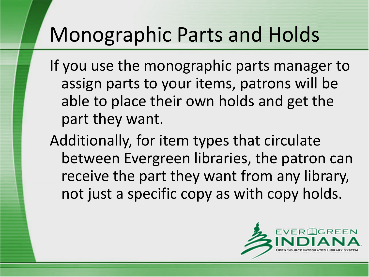## Monographic Parts and Holds

If you use the monographic parts manager to assign parts to your items, patrons will be able to place their own holds and get the part they want.

Additionally, for item types that circulate between Evergreen libraries, the patron can receive the part they want from any library, not just a specific copy as with copy holds.

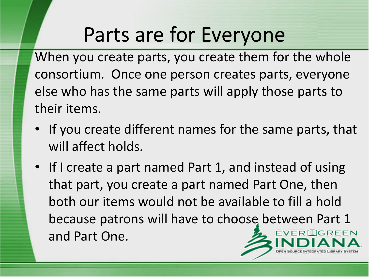## Parts are for Everyone

When you create parts, you create them for the whole consortium. Once one person creates parts, everyone else who has the same parts will apply those parts to their items.

- If you create different names for the same parts, that will affect holds.
- If I create a part named Part 1, and instead of using that part, you create a part named Part One, then both our items would not be available to fill a hold because patrons will have to choose between Part 1 EVERIGREEN and Part One.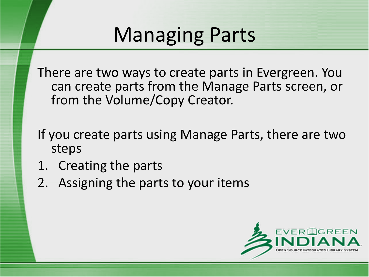# Managing Parts

There are two ways to create parts in Evergreen. You can create parts from the Manage Parts screen, or from the Volume/Copy Creator.

- If you create parts using Manage Parts, there are two steps
- 1. Creating the parts
- 2. Assigning the parts to your items

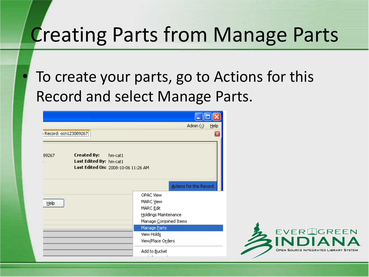#### Creating Parts from Manage Parts

To create your parts, go to Actions for this Record and select Manage Parts.

|                      |                                                                                                 | Admin $($ $)$<br>Help                                               |                                    |
|----------------------|-------------------------------------------------------------------------------------------------|---------------------------------------------------------------------|------------------------------------|
| Record: ocn123089267 |                                                                                                 | ×                                                                   |                                    |
| 89267                | <b>Created By:</b><br>hm-cat1<br>Last Edited By: hm-cat1<br>Last Edited On: 2008-10-06 11:26 AM |                                                                     |                                    |
|                      |                                                                                                 | Actions for this Record                                             |                                    |
| Help                 |                                                                                                 | OPAC View<br>MARC View                                              |                                    |
|                      |                                                                                                 | MARC <u>E</u> dit<br>Holdings Maintenance<br>Manage Conjoined Items |                                    |
|                      |                                                                                                 | Manage Parts<br>View Holds<br>View/Place Orders                     | EVER LIGREE                        |
|                      |                                                                                                 | Add to Bucket                                                       | OPEN SOURCE INTEGRATED LIBRARY SYS |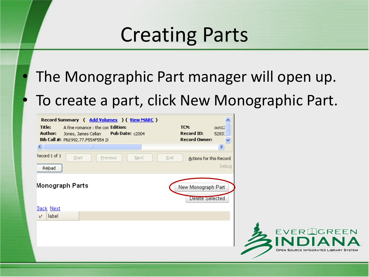## Creating Parts

The Monographic Part manager will open up. To create a part, click New Monographic Part.

| Record Summary ( Add Volumes ) ( View MARC )<br>Title:<br>A fine romance : the con Edition:<br><b>Pub Date: c2004</b><br>Author:<br>Jones, James Cellan<br>Bib Call #: PN1992.77.F554F554 20 | ㅅ<br>TCN:<br>ocn12<br><b>Record ID:</b><br>5283.<br><b>Record Owner:</b><br>× |
|----------------------------------------------------------------------------------------------------------------------------------------------------------------------------------------------|-------------------------------------------------------------------------------|
| <b>TITLE</b><br>к<br>Record 1 of 1<br>Start<br><b>Previous</b><br>$N$ ext<br>Reload                                                                                                          | End<br>Actions for this Record<br>Debug                                       |
| Monograph Parts                                                                                                                                                                              | New Monograph Part<br>Delete Selected                                         |
| <b>Back Next</b><br>label<br>v                                                                                                                                                               |                                                                               |
|                                                                                                                                                                                              | EVERIOREE<br>OPEN SOURCE INTEGRATED LIBRARY SY!                               |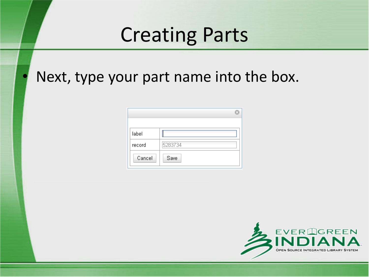### Creating Parts

Next, type your part name into the box.

| label  |         |  |
|--------|---------|--|
| record | 5283734 |  |
| Cancel | Save    |  |

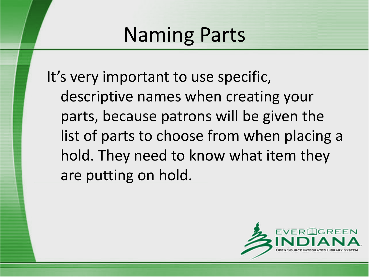It's very important to use specific, descriptive names when creating your parts, because patrons will be given the list of parts to choose from when placing a hold. They need to know what item they are putting on hold.

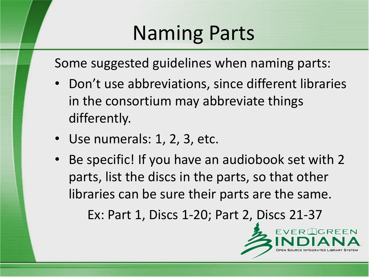Some suggested guidelines when naming parts:

- Don't use abbreviations, since different libraries in the consortium may abbreviate things differently.
- Use numerals: 1, 2, 3, etc.
- Be specific! If you have an audiobook set with 2 parts, list the discs in the parts, so that other libraries can be sure their parts are the same.

Ex: Part 1, Discs 1-20; Part 2, Discs 21-37

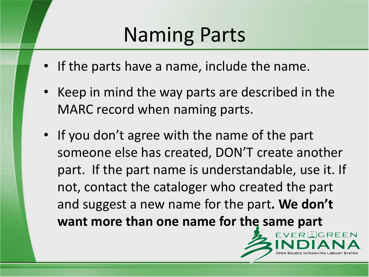- If the parts have a name, include the name.
- Keep in mind the way parts are described in the MARC record when naming parts.
- If you don't agree with the name of the part someone else has created, DON'T create another part. If the part name is understandable, use it. If not, contact the cataloger who created the part and suggest a new name for the part**. We don't want more than one name for the same part**

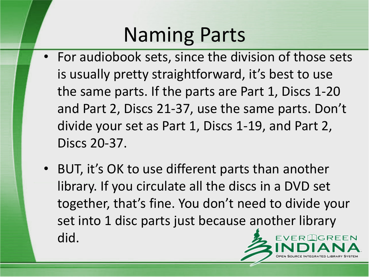- For audiobook sets, since the division of those sets is usually pretty straightforward, it's best to use the same parts. If the parts are Part 1, Discs 1-20 and Part 2, Discs 21-37, use the same parts. Don't divide your set as Part 1, Discs 1-19, and Part 2, Discs 20-37.
- BUT, it's OK to use different parts than another library. If you circulate all the discs in a DVD set together, that's fine. You don't need to divide your set into 1 disc parts just because another library did.**EVERIGREEN**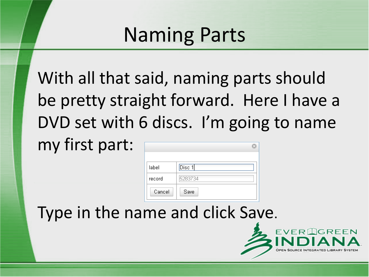With all that said, naming parts should be pretty straight forward. Here I have a DVD set with 6 discs. I'm going to name my first part:

| label  | Disc <sub>1</sub> |
|--------|-------------------|
| record | 5283734           |
| Cancel | Save              |

Type in the name and click Save.

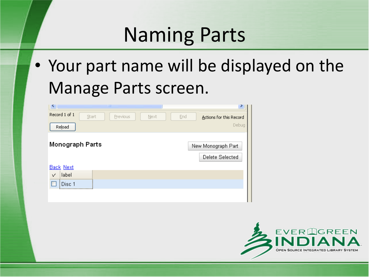• Your part name will be displayed on the Manage Parts screen.

| K.                     | ШI               |     |                                       |
|------------------------|------------------|-----|---------------------------------------|
| Record 1 of 1<br>Start | Previous<br>Next | End | Actions for this Record               |
| Reload                 |                  |     | Debug                                 |
| Monograph Parts        |                  |     | New Monograph Part<br>Delete Selected |
| <b>Back Next</b>       |                  |     |                                       |
| label<br>V             |                  |     |                                       |
| Disc <sub>1</sub>      |                  |     |                                       |
|                        |                  |     |                                       |

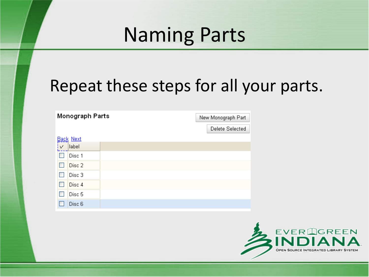#### Repeat these steps for all your parts.

|   | Monograph Parts  |  |  | New Monograph Part |  |  |
|---|------------------|--|--|--------------------|--|--|
|   |                  |  |  | Delete Selected    |  |  |
|   | <b>Back Next</b> |  |  |                    |  |  |
| V | label            |  |  |                    |  |  |
|   | Disc 1           |  |  |                    |  |  |
|   | Disc 2           |  |  |                    |  |  |
|   | Disc 3           |  |  |                    |  |  |
|   | Disc 4           |  |  |                    |  |  |
|   | Disc 5           |  |  |                    |  |  |
|   | Disc 6           |  |  |                    |  |  |

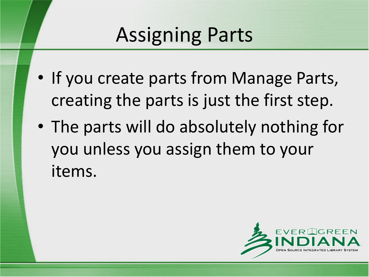# Assigning Parts

- If you create parts from Manage Parts, creating the parts is just the first step.
- The parts will do absolutely nothing for you unless you assign them to your items.

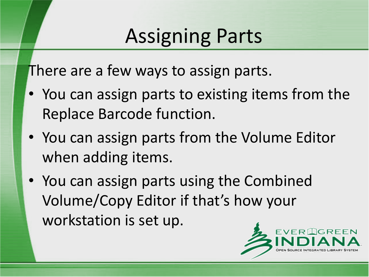# Assigning Parts

There are a few ways to assign parts.

- You can assign parts to existing items from the Replace Barcode function.
- You can assign parts from the Volume Editor when adding items.
- You can assign parts using the Combined Volume/Copy Editor if that's how your workstation is set up.

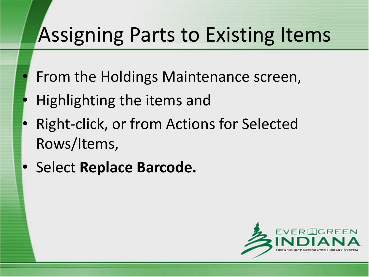- From the Holdings Maintenance screen,
- Highlighting the items and
- Right-click, or from Actions for Selected Rows/Items,
- Select **Replace Barcode.**

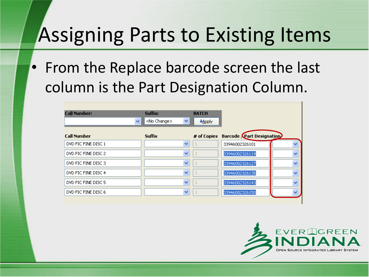• From the Replace barcode screen the last column is the Part Designation Column.

|                     | Suffix:                   |              |                                      |              |
|---------------------|---------------------------|--------------|--------------------------------------|--------------|
| <b>Call Number:</b> |                           | <b>BATCH</b> |                                      |              |
| v                   | <no change=""><br/>×</no> | +Apply       |                                      |              |
| <b>Call Number</b>  | <b>Suffix</b>             |              | # of Copies Barcode Part Designation |              |
| DVD FIC FINE DISC 1 | v                         |              | 33946002326101                       | $\checkmark$ |
| DVD FIC FINE DISC 2 | v                         |              | 33946002326119                       | $\ddotmark$  |
| DVD FIC FINE DISC 3 | v                         |              | 33946002326127                       | $\ddotmark$  |
| DVD FIC FINE DISC 4 | v                         |              | 33946002326135                       | $\ddotmark$  |
| DVD FIC FINE DISC 5 | v                         |              | 33946002326143                       | $\ddotmark$  |
| DVD FIC FINE DISC 6 | v                         |              | 33946002326150                       |              |

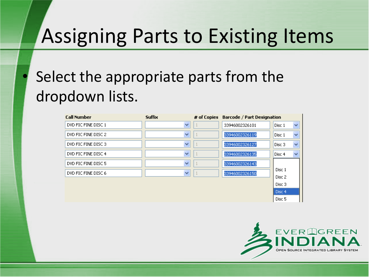#### Select the appropriate parts from the dropdown lists.

| <b>Call Number</b>  | <b>Suffix</b> | # of Copies | Barcode / Part Designation |                  |              |
|---------------------|---------------|-------------|----------------------------|------------------|--------------|
| DVD FIC FINE DISC 1 | v             |             | 33946002326101             | Disc 1           | $\checkmark$ |
| DVD FIC FINE DISC 2 | v             |             | 33946002326119             | Disc 1           | $\checkmark$ |
| DVD FIC FINE DISC 3 | v             |             | 33946002326127             | Disc 3           | $\checkmark$ |
| DVD FIC FINE DISC 4 | v             |             | 33946002326135             | Disc 4           | $\checkmark$ |
| DVD FIC FINE DISC 5 | v             |             | 33946002326143             |                  |              |
| DVD FIC FINE DISC 6 | v             |             | 33946002326150             | Disc 1<br>Disc 2 |              |
|                     |               |             |                            | Disc 3           |              |
|                     |               |             |                            | ll Disc 4        |              |



Disc<sub>5</sub>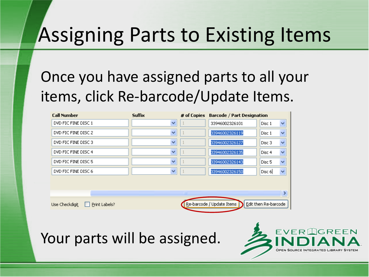#### Once you have assigned parts to all your items, click Re-barcode/Update Items.

| <b>Call Number</b>              | <b>Suffix</b> | # of Copies | Barcode / Part Designation |                        |  |  |
|---------------------------------|---------------|-------------|----------------------------|------------------------|--|--|
| DVD FIC FINE DISC 1             | v             |             | 33946002326101             | v<br>Disc 1            |  |  |
| DVD FIC FINE DISC 2             | v             |             | 33946002326119             | Disc 1<br>v            |  |  |
| DVD FIC FINE DISC 3             | v             |             | 33946002326127             | Disc 3<br>×            |  |  |
| DVD FIC FINE DISC 4             | v             |             | 33946002326135             | Disc 4<br>v            |  |  |
| DVD FIC FINE DISC 5             | $\checkmark$  |             | 33946002326143             | Disc <sub>5</sub><br>× |  |  |
| DVD FIC FINE DISC 6             | v             |             | 33946002326150             | $\checkmark$<br>Disc 6 |  |  |
|                                 |               |             |                            |                        |  |  |
|                                 |               | ШI          |                            |                        |  |  |
|                                 |               |             | Re-barcode / Update Items  | Edit then Re-barcode   |  |  |
| Print Labels?<br>Use Checkdigit |               |             |                            |                        |  |  |

Your parts will be assigned.

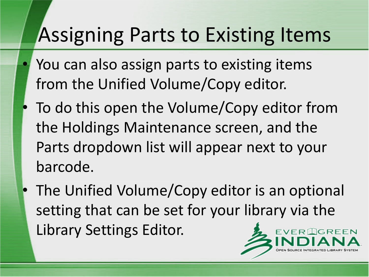- You can also assign parts to existing items from the Unified Volume/Copy editor.
- To do this open the Volume/Copy editor from the Holdings Maintenance screen, and the Parts dropdown list will appear next to your barcode.
- The Unified Volume/Copy editor is an optional setting that can be set for your library via the Library Settings Editor.DGREEN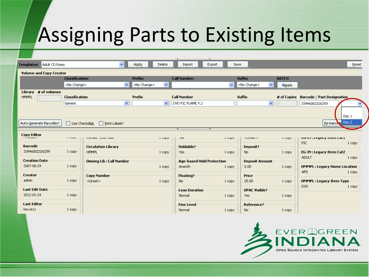|                                         |                                                  |                                            |                                     |                      | $\ A\ $ . The continuation of the continuum contract $A\ $ |                |                      |                           |                                                |                             |
|-----------------------------------------|--------------------------------------------------|--------------------------------------------|-------------------------------------|----------------------|------------------------------------------------------------|----------------|----------------------|---------------------------|------------------------------------------------|-----------------------------|
| Templates: Adult CD Roms                |                                                  | $\vee$                                     | Apply                               | Delete               | Import                                                     | Export<br>Save |                      |                           |                                                | Reset                       |
| <b>Volume and Copy Creator</b>          |                                                  |                                            |                                     |                      |                                                            |                |                      |                           |                                                |                             |
|                                         | <b>Classification:</b>                           |                                            | Prefix:                             |                      | <b>Call Number:</b>                                        |                | Suffix:              | <b>BATCH</b>              |                                                |                             |
|                                         | <no change=""></no>                              |                                            | $\checkmark$<br><no change=""></no> | $\blacktriangledown$ |                                                            | $\vee$         | <no change=""></no>  | $\checkmark$<br>$+$ Apply |                                                |                             |
| Library # of volumes<br><b>HMMPL</b>    | Classification                                   |                                            | Prefix                              |                      | <b>Call Number</b>                                         |                | <b>Suffix</b>        | # of Copies               | Barcode / Part Designation                     |                             |
|                                         | Generic                                          |                                            | $\checkmark$                        | $\checkmark$         | DVD FIC FLAME V.2                                          |                |                      | ×                         | 33946002326259                                 |                             |
| Auto-Generate Barcodes?                 | □ Use Checkdigit                                 | $\Box$ Print Labels?                       |                                     |                      |                                                            |                |                      |                           |                                                | Disc 1<br>Re-barcode Disc 2 |
|                                         |                                                  |                                            |                                     |                      |                                                            |                |                      |                           |                                                |                             |
| <b>Copy Editor</b><br><b>TTT GIRDEN</b> | $\sim$ $\sim$ $\sim$ $\sim$ $\sim$ $\sim$ $\sim$ | PROVIDS TIZING FROM                        |                                     | a copy               | 105                                                        | <b>L</b> COPY  | <b>NUMBER</b>        | a copy.                   | LUTIN, LEYOLY ILEIN LOLI                       |                             |
| Barcode                                 |                                                  |                                            |                                     |                      |                                                            |                |                      |                           | <b>FIC</b>                                     | 1 copy                      |
| 33946002326259                          | 1 copy                                           | <b>Circulation Library</b><br><b>HMMPL</b> |                                     |                      | Holdable?                                                  |                | Deposit?             |                           |                                                |                             |
|                                         |                                                  |                                            |                                     | 1 copy               | Yes                                                        | 1 copy         | No.                  | 1 copy                    | <b>EG-IN: Legacy Item Cat2</b><br><b>ADULT</b> | 1 copy                      |
| <b>Creation Date</b>                    |                                                  | Owning Lib : Call Number                   |                                     |                      | Age-based Hold Protection                                  |                | Deposit Amount       |                           |                                                |                             |
| 2007-06-29                              | 1 copy                                           |                                            |                                     | 1 copy               | 6month                                                     | 1 copy         | 0.00                 | 1 copy                    | <b>HMMPL: Legacy Home Location</b>             |                             |
| Creator                                 |                                                  | <b>Copy Number</b>                         |                                     |                      | Floating?                                                  |                | Price                |                           | AFD                                            | 1 copy                      |
| admin                                   | 1 copy                                           | <unset></unset>                            |                                     | 1 copy               | No.                                                        | 1 copy         | 25.00                | 1 copy                    | <b>HMMPL : Legacy Item Type</b>                |                             |
| Last Edit Date                          |                                                  |                                            |                                     |                      | <b>Loan Duration</b>                                       |                | <b>OPAC Visible?</b> |                           | <b>DVD</b>                                     | 1 copy                      |
| 2012-01-24                              | 1 copy                                           |                                            |                                     |                      | Normal                                                     | 1 copy         | <b>Yes</b>           | 1 copy                    |                                                |                             |
| Last Editor                             |                                                  |                                            |                                     |                      | <b>Fine Level</b>                                          |                | <b>Reference?</b>    |                           |                                                |                             |
| hm-circ1                                | 1 copy                                           |                                            |                                     |                      | Normal                                                     | 1 copy         | No.                  | 1 copy                    |                                                |                             |

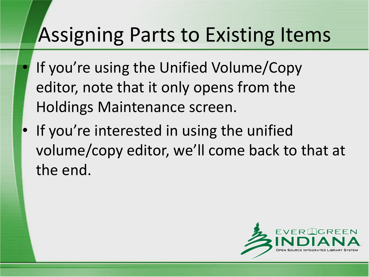- If you're using the Unified Volume/Copy editor, note that it only opens from the Holdings Maintenance screen.
- If you're interested in using the unified volume/copy editor, we'll come back to that at the end.

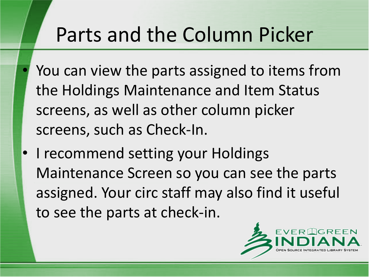## Parts and the Column Picker

- You can view the parts assigned to items from the Holdings Maintenance and Item Status screens, as well as other column picker screens, such as Check-In.
- I recommend setting your Holdings Maintenance Screen so you can see the parts assigned. Your circ staff may also find it useful to see the parts at check-in.

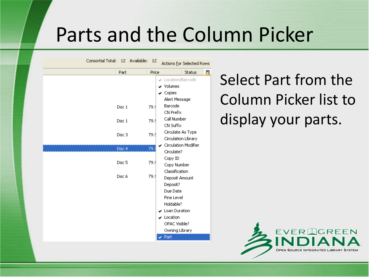#### Parts and the Column Picker

Consortial Total: 12 Available: 12 Actions for Selected Rows 畏 Part Price Status Location/Barcode v Volumes  $\vee$  Copies Alert Message Barcode Disc 1 79.9 CN Prefix Call Number Disc 1 79.9 CN Suffix Circulate As Type Disc<sub>3</sub> 79.9 Circulation Library Circulation Modifier 79. Disc 4 Circulate? Copy ID Disc<sub>5</sub> 79.9 Copy Number Classification Disc 6 79.9 Deposit Amount Deposit? Due Date Fine Level Holdable?  $\overline{\smash{\checkmark}}$  Loan Duration  $\overline{\smash{\checkmark}}$  Location OPAC Visible? Owning Library  $\sqrt{P}$  Part

Select Part from the Column Picker list to display your parts.

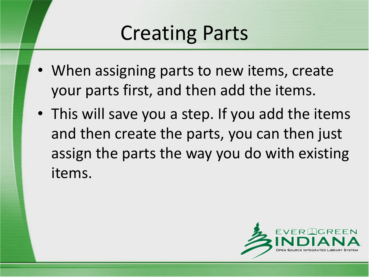# Creating Parts

- When assigning parts to new items, create your parts first, and then add the items.
- This will save you a step. If you add the items and then create the parts, you can then just assign the parts the way you do with existing items.

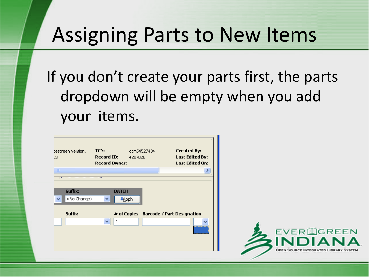### Assigning Parts to New Items

If you don't create your parts first, the parts dropdown will be empty when you add your items.

| lescreen version.<br>13 | TCN:<br><b>Record ID:</b><br><b>Record Owner:</b> | ocm54527434<br>4207028 | <b>Created By:</b><br>Last Edited By:<br>Last Edited On: |
|-------------------------|---------------------------------------------------|------------------------|----------------------------------------------------------|
| ШI                      |                                                   |                        | ⋗                                                        |
| $\blacksquare$          |                                                   |                        |                                                          |
| Suffix:                 | <b>BATCH</b>                                      |                        |                                                          |
| <no change=""></no>     | ×.<br>+Apply                                      |                        |                                                          |
| <b>Suffix</b>           |                                                   |                        | # of Copies Barcode / Part Designation                   |
|                         | $\mathbf{1}$<br>$\checkmark$                      |                        |                                                          |
|                         |                                                   |                        |                                                          |
|                         |                                                   |                        |                                                          |
|                         |                                                   |                        |                                                          |

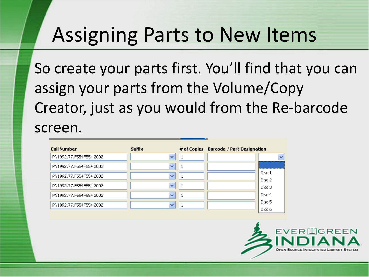#### Assigning Parts to New Items

So create your parts first. You'll find that you can assign your parts from the Volume/Copy Creator, just as you would from the Re-barcode screen.

| <b>Call Number</b>      | <b>Suffix</b>            | # of Copies Barcode / Part Designation |                   |
|-------------------------|--------------------------|----------------------------------------|-------------------|
| PN1992.77.F554F554 2002 | $\overline{\phantom{a}}$ |                                        |                   |
| PN1992.77.F554F554 2002 | $\checkmark$             |                                        |                   |
| PN1992.77.F554F554 2002 | $\checkmark$             |                                        | Disc 1<br>Disc 2  |
| PN1992.77.F554F554 2002 | $\overline{\phantom{a}}$ |                                        | Disc 3            |
| PN1992.77.F554F554 2002 | $\overline{\phantom{a}}$ |                                        | Disc 4            |
| PN1992.77.F554F554 2002 | $\checkmark$             |                                        | Disc <sub>5</sub> |
|                         |                          |                                        | Disc 6            |

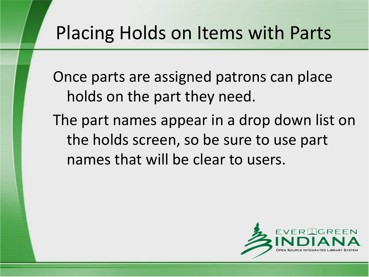Once parts are assigned patrons can place holds on the part they need.

The part names appear in a drop down list on the holds screen, so be sure to use part names that will be clear to users.

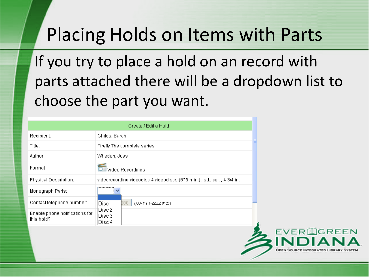If you try to place a hold on an record with parts attached there will be a dropdown list to choose the part you want.

| Create / Edit a Hold                         |                                                                          |  |
|----------------------------------------------|--------------------------------------------------------------------------|--|
| Recipient:                                   | Childs, Sarah                                                            |  |
| Title:                                       | Firefly The complete series                                              |  |
| Author                                       | Whedon, Joss                                                             |  |
| Format                                       | Video Recordings                                                         |  |
| Physical Description:                        | videorecording videodisc 4 videodiscs (675 min.) : sd., col. ; 4 3/4 in. |  |
| Monograph Parts:                             | $\checkmark$<br><u></u>                                                  |  |
| Contact telephone number:                    | 388<br>Disc 1                                                            |  |
| Enable phone notifications for<br>this hold? | 'IDisc 2<br>Disc 3<br> Disc 4                                            |  |
|                                              |                                                                          |  |

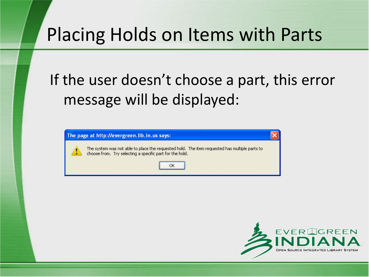#### If the user doesn't choose a part, this error message will be displayed:

| The page at http://evergreen.lib.in.us says:                                                                                                              |  |
|-----------------------------------------------------------------------------------------------------------------------------------------------------------|--|
| The system was not able to place the requested hold. The item requested has multiple parts to<br>choose from. Try selecting a specific part for the hold. |  |
|                                                                                                                                                           |  |

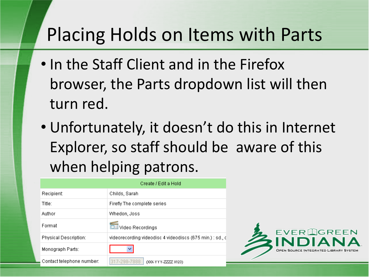- In the Staff Client and in the Firefox browser, the Parts dropdown list will then turn red.
- Unfortunately, it doesn't do this in Internet Explorer, so staff should be aware of this when helping patrons.

|                           | Create / Edit a Hold                                      |
|---------------------------|-----------------------------------------------------------|
| Recipient:                | Childs, Sarah                                             |
| Title:                    | Firefly The complete series                               |
| Author                    | Whedon, Joss                                              |
| Format                    | Video Recordings                                          |
| Physical Description:     | videorecording videodisc 4 videodiscs (675 min.) : sd., d |
| Monograph Parts:          |                                                           |
| Contact telephone number: | 317-298-7888<br>0006 Y Y Y - ZZZZ X123)                   |

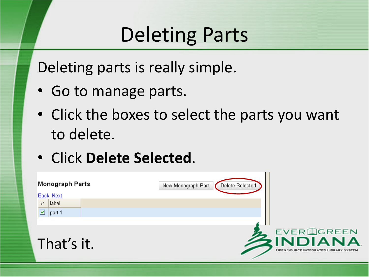# Deleting Parts

Deleting parts is really simple.

- Go to manage parts.
- Click the boxes to select the parts you want to delete.
- Click **Delete Selected**.

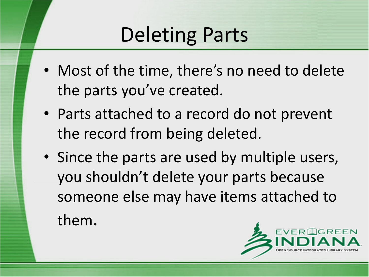# Deleting Parts

- Most of the time, there's no need to delete the parts you've created.
- Parts attached to a record do not prevent the record from being deleted.
- Since the parts are used by multiple users, you shouldn't delete your parts because someone else may have items attached to them.

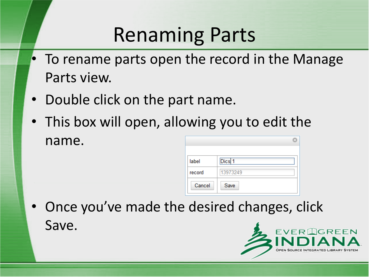# Renaming Parts

- To rename parts open the record in the Manage Parts view.
- Double click on the part name.
- This box will open, allowing you to edit the name. G)

| label  | Dics <sub>1</sub> |
|--------|-------------------|
| record | 13973249          |
| Cancel | Save              |

• Once you've made the desired changes, click Save.

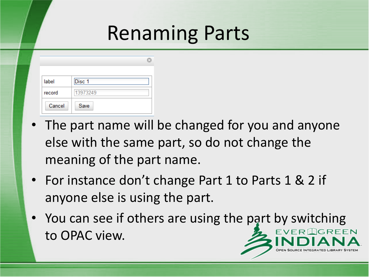## Renaming Parts

| label  | Disc <sub>1</sub> |
|--------|-------------------|
| record | 13973249          |
| Cancel | Save              |

- The part name will be changed for you and anyone else with the same part, so do not change the meaning of the part name.
- For instance don't change Part 1 to Parts 1 & 2 if anyone else is using the part.
- You can see if others are using the part by switching **EVER GREEN** to OPAC view.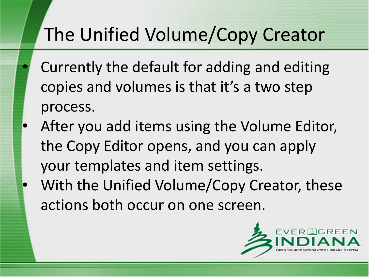- Currently the default for adding and editing copies and volumes is that it's a two step process.
- After you add items using the Volume Editor, the Copy Editor opens, and you can apply your templates and item settings. With the Unified Volume/Copy Creator, these actions both occur on one screen.

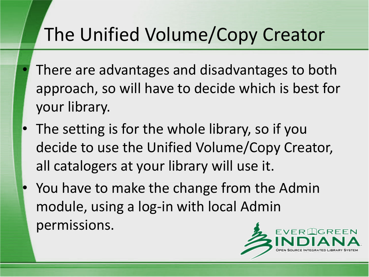- There are advantages and disadvantages to both approach, so will have to decide which is best for your library.
- The setting is for the whole library, so if you decide to use the Unified Volume/Copy Creator, all catalogers at your library will use it.
- You have to make the change from the Admin module, using a log-in with local Admin permissions.

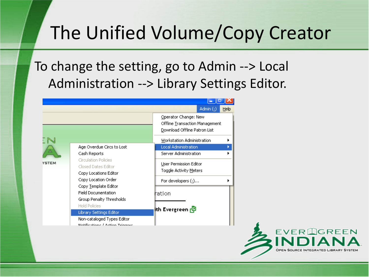#### To change the setting, go to Admin --> Local Administration --> Library Settings Editor.

|              |                                                                                                                                                                                                                                                                                                                                                       | Admin $\left(\frac{1}{2}\right)$<br>Help                                                                                                |  |  |  |
|--------------|-------------------------------------------------------------------------------------------------------------------------------------------------------------------------------------------------------------------------------------------------------------------------------------------------------------------------------------------------------|-----------------------------------------------------------------------------------------------------------------------------------------|--|--|--|
|              |                                                                                                                                                                                                                                                                                                                                                       | Operator Change: New<br>Offline Transaction Management<br>Download Offline Patron List<br>Workstation Administration                    |  |  |  |
| <b>/STEM</b> | Age Overdue Circs to Lost<br>Cash Reports<br>Circulation Policies<br>Closed Dates Editor<br>Copy Locations Editor<br>Copy Location Order<br>Copy Template Editor<br><b>Field Documentation</b><br>Group Penalty Thresholds<br><b>Hold Policies</b><br><b>Library Settings Editor</b><br>Non-cataloged Types Editor<br>Notifications / Action Triagore | Local Administration<br>Server Administration<br>User Permission Editor<br>Toggle Activity Meters<br>For developers $(\cdot)$<br>hation |  |  |  |
|              |                                                                                                                                                                                                                                                                                                                                                       | ith Evergreen r <mark>과</mark>                                                                                                          |  |  |  |

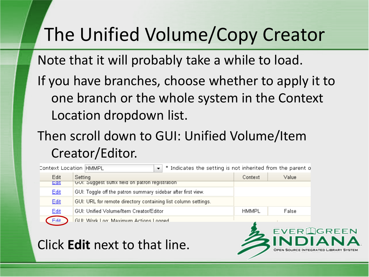Note that it will probably take a while to load.

If you have branches, choose whether to apply it to one branch or the whole system in the Context Location dropdown list.

#### Then scroll down to GUI: Unified Volume/Item Creator/Editor.

| $\overline{\phantom{a}}$<br>* Indicates the setting is not inherited from the parent o<br>Context Location HMMPL |                                                                |              |       |
|------------------------------------------------------------------------------------------------------------------|----------------------------------------------------------------|--------------|-------|
| Edit                                                                                                             | Setting                                                        | Context      | Value |
| $E$ all                                                                                                          | GUI: Suddest suffix field on patron registration.              |              |       |
| Edit                                                                                                             | GUI: Toggle off the patron summary sidebar after first view.   |              |       |
| Edit                                                                                                             | GUI: URL for remote directory containing list column settings. |              |       |
| Edit                                                                                                             | GUI: Unified Volume/Item Creator/Editor                        | <b>HMMPL</b> | False |
| Fdit                                                                                                             | GHE Work Log: Maximum Actions Logged                           |              |       |

Click **Edit** next to that line.

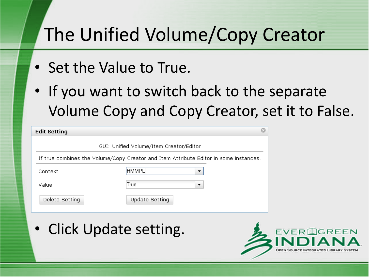- Set the Value to True.
- If you want to switch back to the separate Volume Copy and Copy Creator, set it to False.

| <b>Edit Setting</b> |                                                                                       |  |
|---------------------|---------------------------------------------------------------------------------------|--|
|                     | GUI: Unified Volume/Item Creator/Editor                                               |  |
|                     | If true combines the Volume/Copy Creator and Item Attribute Editor in some instances. |  |
| Context             | <b>HMMPL</b><br>▼                                                                     |  |
| Value               | True<br>▼                                                                             |  |
| Delete Setting      | Update Setting                                                                        |  |

• Click Update setting.

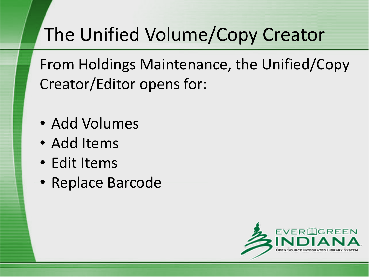From Holdings Maintenance, the Unified/Copy Creator/Editor opens for:

- Add Volumes
- Add Items
- Edit Items
- Replace Barcode

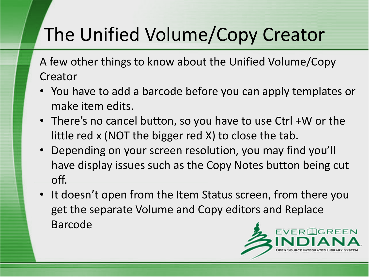A few other things to know about the Unified Volume/Copy **Creator** 

- You have to add a barcode before you can apply templates or make item edits.
- There's no cancel button, so you have to use Ctrl +W or the little red x (NOT the bigger red X) to close the tab.
- Depending on your screen resolution, you may find you'll have display issues such as the Copy Notes button being cut off.
- It doesn't open from the Item Status screen, from there you get the separate Volume and Copy editors and Replace Barcode